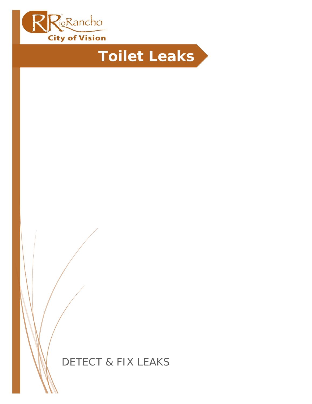

# **Toilet Leaks**

DETECT & FIX LEAKS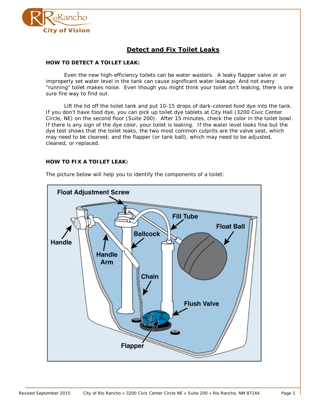

# **Detect and Fix Toilet Leaks**

# **HOW TO DETECT A TOILET LEAK:**

Even the new high-efficiency toilets can be water wasters. A leaky flapper valve or an improperly set water level in the tank can cause significant water leakage. And not every "running" toilet makes noise. Even though you might think your toilet isn't leaking, there is one sure fire way to find out.

Lift the lid off the toilet tank and put 10-15 drops of dark-colored food dye into the tank. If you don't have food dye, you can pick up toilet dye tablets at City Hall (3200 Civic Center Circle, NE) on the second floor (Suite 200). After 15 minutes, check the color in the toilet bowl. If there is any sign of the dye color, your toilet is leaking. If the water level looks fine but the dye test shows that the toilet leaks, the two most common culprits are the valve seat, which may need to be cleaned; and the flapper (or tank ball), which may need to be adjusted, cleaned, or replaced.

#### **HOW TO FIX A TOILET LEAK:**



The picture below will help you to identify the components of a toilet: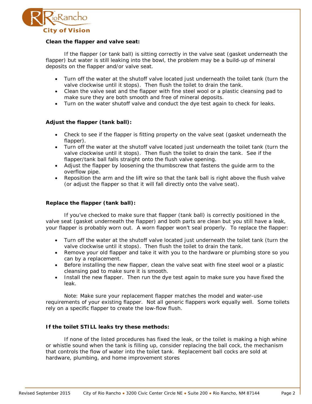

#### **Clean the flapper and valve seat:**

If the flapper (or tank ball) is sitting correctly in the valve seat (gasket underneath the flapper) but water is still leaking into the bowl, the problem may be a build-up of mineral deposits on the flapper and/or valve seat.

- Turn off the water at the shutoff valve located just underneath the toilet tank (turn the valve clockwise until it stops). Then flush the toilet to drain the tank.
- Clean the valve seat and the flapper with fine steel wool or a plastic cleansing pad to make sure they are both smooth and free of mineral deposits.
- Turn on the water shutoff valve and conduct the dye test again to check for leaks.

# **Adjust the flapper (tank ball):**

- Check to see if the flapper is fitting property on the valve seat (gasket underneath the flapper).
- Turn off the water at the shutoff valve located just underneath the toilet tank (turn the valve clockwise until it stops). Then flush the toilet to drain the tank. See if the flapper/tank ball falls straight onto the flush valve opening.
- Adjust the flapper by loosening the thumbscrew that fastens the guide arm to the overflow pipe.
- Reposition the arm and the lift wire so that the tank ball is right above the flush valve (or adjust the flapper so that it will fall directly onto the valve seat).

#### **Replace the flapper (tank ball):**

If you've checked to make sure that flapper (tank ball) is correctly positioned in the valve seat (gasket underneath the flapper) and both parts are clean but you still have a leak, your flapper is probably worn out. A worn flapper won't seal properly. To replace the flapper:

- Turn off the water at the shutoff valve located just underneath the toilet tank (turn the valve clockwise until it stops). Then flush the toilet to drain the tank.
- Remove your old flapper and take it with you to the hardware or plumbing store so you can by a replacement.
- Before installing the new flapper, clean the valve seat with fine steel wool or a plastic cleansing pad to make sure it is smooth.
- Install the new flapper. Then run the dye test again to make sure you have fixed the leak.

Note: Make sure your replacement flapper matches the model and water-use requirements of your existing flapper. Not all generic flappers work equally well. Some toilets rely on a specific flapper to create the low-flow flush.

#### **If the toilet STILL leaks try these methods:**

If none of the listed procedures has fixed the leak, or the toilet is making a high whine or whistle sound when the tank is filling up, consider replacing the ball cock, the mechanism that controls the flow of water into the toilet tank. Replacement ball cocks are sold at hardware, plumbing, and home improvement stores